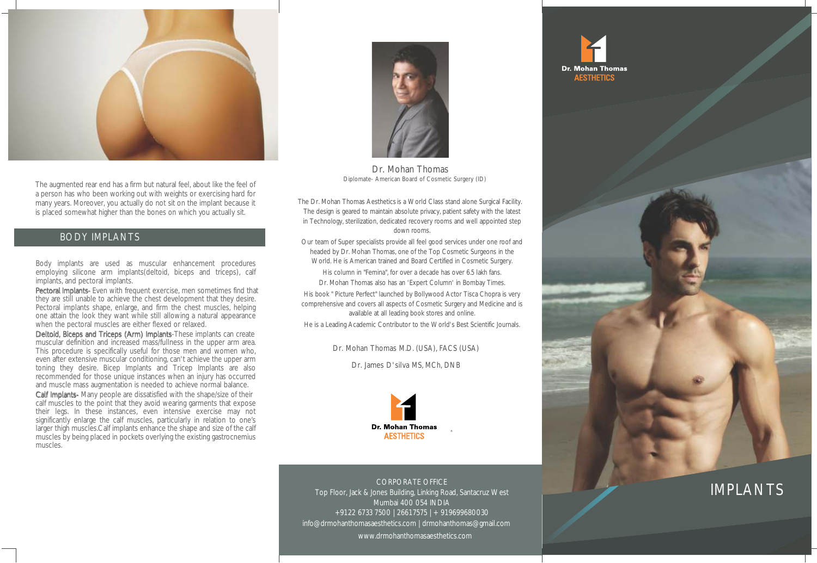

The augmented rear end has a firm but natural feel, about like the feel of a person has who been working out with weights or exercising hard for many years. Moreover, you actually do not sit on the implant because it is placed somewhat higher than the bones on which you actually sit.

#### BODY IMPLANTS

Body implants are used as muscular enhancement procedures employing silicone arm implants(deltoid, biceps and triceps), calf

**Pectoral Implants-** Even with frequent exercise, men sometimes find that they are still unable to achieve the chest development that they desire. Pectoral implants shape, enlarge, and firm the chest muscles, helping one attain the look they want while still allowing a natural appearance when the pectoral muscles are either flexed or relaxed.

Deltoid, Biceps and Triceps (Arm) Implants-These implants can create muscular definition and increased mass/fullness in the upper arm area. This procedure is specifically useful for those men and women who, even after extensive muscular conditioning, can't achieve the upper arm toning they desire. Bicep Implants and Tricep Implants are also recommended for those unique instances when an injury has occurred and muscle mass augmentation is needed to achieve normal balance.

Calf Implants- Many people are dissatisfied with the shape/size of their calf muscles to the point that they avoid wearing garments that expose their legs. In these instances, even intensive exercise may not significantly enlarge the calf muscles, particularly in relation to one's larger thigh muscles.Calf implants enhance the shape and size of the calf muscles by being placed in pockets overlying the existing gastrocnemius muscles.



Dr. Mohan Thomas Diplomate- American Board of Cosmetic Surgery (ID)

The Dr. Mohan Thomas Aesthetics is a World Class stand alone Surgical Facility. The design is geared to maintain absolute privacy, patient safety with the latest in Technology, sterilization, dedicated recovery rooms and well appointed step down rooms.

Our team of Super specialists provide all feel good services under one roof and headed by Dr. Mohan Thomas, one of the Top Cosmetic Surgeons in the World. He is American trained and Board Certified in Cosmetic Surgery.

His column in "Femina", for over a decade has over 6.5 lakh fans. Dr. Mohan Thomas also has an 'Expert Column' in Bombay Times.

His book " Picture Perfect" launched by Bollywood Actor Tisca Chopra is very comprehensive and covers all aspects of Cosmetic Surgery and Medicine and is available at all leading book stores and online.

He is a Leading Academic Contributor to the World's Best Scientific Journals.

Dr. Mohan Thomas M.D. (USA), FACS (USA)

Dr. James D'silva MS, MCh, DNB



CORPORATE OFFICE Top Floor, Jack & Jones Building, Linking Road, Santacruz West Mumbai 400 054 INDIA +91 22 6733 7500 | 2661 7575 | + 91 9699680030 info@drmohanthomasaesthetics.com | drmohanthomas@gmail.com www.drmohanthomasaesthetics.com





# IMPLANTS